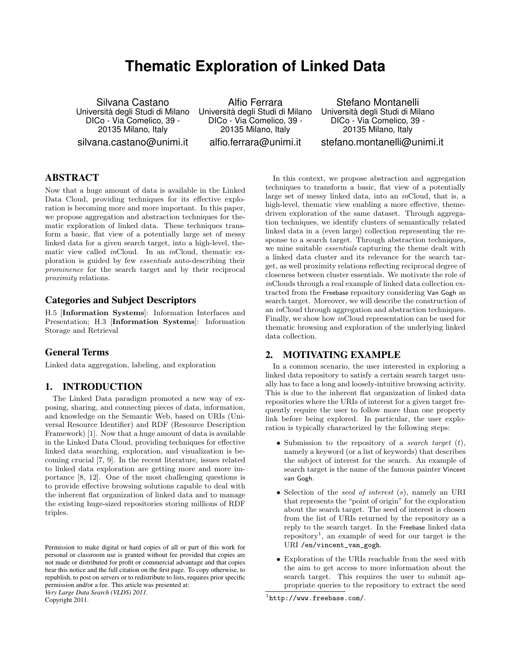# **Thematic Exploration of Linked Data**

Silvana Castano Universita degli Studi di Milano ` DICo - Via Comelico, 39 - 20135 Milano, Italy silvana.castano@unimi.it

Alfio Ferrara Universita degli Studi di Milano ` DICo - Via Comelico, 39 - 20135 Milano, Italy alfio.ferrara@unimi.it

Stefano Montanelli Universita degli Studi di Milano ` DICo - Via Comelico, 39 - 20135 Milano, Italy stefano.montanelli@unimi.it

# ABSTRACT

Now that a huge amount of data is available in the Linked Data Cloud, providing techniques for its effective exploration is becoming more and more important. In this paper, we propose aggregation and abstraction techniques for thematic exploration of linked data. These techniques transform a basic, flat view of a potentially large set of messy linked data for a given search target, into a high-level, thematic view called inCloud. In an inCloud, thematic exploration is guided by few essentials auto-describing their prominence for the search target and by their reciprocal proximity relations.

## Categories and Subject Descriptors

H.5 [Information Systems]: Information Interfaces and Presentation; H.3 [Information Systems]: Information Storage and Retrieval

## General Terms

Linked data aggregation, labeling, and exploration

## 1. INTRODUCTION

The Linked Data paradigm promoted a new way of exposing, sharing, and connecting pieces of data, information, and knowledge on the Semantic Web, based on URIs (Universal Resource Identifier) and RDF (Resource Description Framework) [1]. Now that a huge amount of data is available in the Linked Data Cloud, providing techniques for effective linked data searching, exploration, and visualization is becoming crucial [7, 9]. In the recent literature, issues related to linked data exploration are getting more and more importance [8, 12]. One of the most challenging questions is to provide effective browsing solutions capable to deal with the inherent flat organization of linked data and to manage the existing huge-sized repositories storing millions of RDF triples.

Copyright 2011.

In this context, we propose abstraction and aggregation techniques to transform a basic, flat view of a potentially large set of messy linked data, into an inCloud, that is, a high-level, thematic view enabling a more effective, themedriven exploration of the same dataset. Through aggregation techniques, we identify clusters of semantically related linked data in a (even large) collection representing the response to a search target. Through abstraction techniques, we mine suitable essentials capturing the theme dealt with a linked data cluster and its relevance for the search target, as well proximity relations reflecting reciprocal degree of closeness between cluster essentials. We motivate the role of inClouds through a real example of linked data collection extracted from the Freebase repository considering Van Gogh as search target. Moreover, we will describe the construction of an inCloud through aggregation and abstraction techniques. Finally, we show how inCloud representation can be used for thematic browsing and exploration of the underlying linked data collection.

## 2. MOTIVATING EXAMPLE

In a common scenario, the user interested in exploring a linked data repository to satisfy a certain search target usually has to face a long and loosely-intuitive browsing activity. This is due to the inherent flat organization of linked data repositories where the URIs of interest for a given target frequently require the user to follow more than one property link before being explored. In particular, the user exploration is typically characterized by the following steps:

- Submission to the repository of a *search target*  $(t)$ , namely a keyword (or a list of keywords) that describes the subject of interest for the search. An example of search target is the name of the famous painter Vincent van Gogh.
- Selection of the seed of interest  $(s)$ , namely an URI that represents the "point of origin" for the exploration about the search target. The seed of interest is chosen from the list of URIs returned by the repository as a reply to the search target. In the Freebase linked data repository<sup>1</sup>, an example of seed for our target is the URI /en/vincent\_van\_gogh.
- Exploration of the URIs reachable from the seed with the aim to get access to more information about the search target. This requires the user to submit appropriate queries to the repository to extract the seed

Permission to make digital or hard copies of all or part of this work for personal or classroom use is granted without fee provided that copies are not made or distributed for profit or commercial advantage and that copies bear this notice and the full citation on the first page. To copy otherwise, to republish, to post on servers or to redistribute to lists, requires prior specific permission and/or a fee. This article was presented at: *Very Large Data Search (VLDS) 2011.*

<sup>1</sup> http://www.freebase.com/.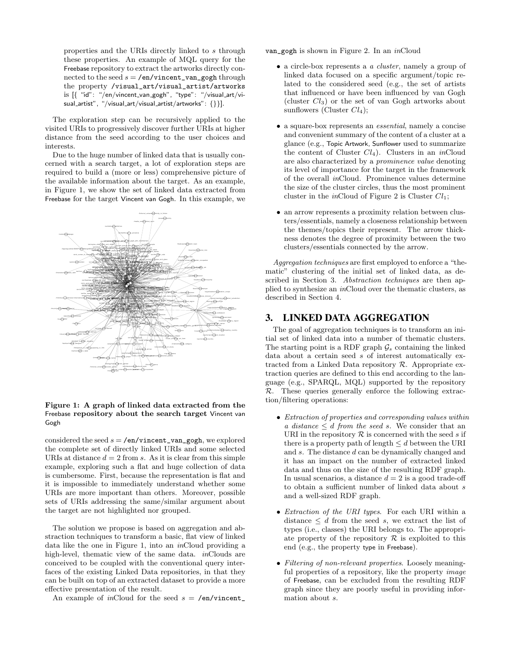properties and the URIs directly linked to s through these properties. An example of MQL query for the Freebase repository to extract the artworks directly connected to the seed  $s = \sqrt{\text{en}/\text{vincent\_van\_gogh}}$  through the property /visual\_art/visual\_artist/artworks is [{ "id": "/en/vincent van gogh", "type": "/visual art/visual\_artist", "/visual\_art/visual\_artist/artworks": {}}].

The exploration step can be recursively applied to the visited URIs to progressively discover further URIs at higher distance from the seed according to the user choices and interests.

Due to the huge number of linked data that is usually concerned with a search target, a lot of exploration steps are required to build a (more or less) comprehensive picture of the available information about the target. As an example, in Figure 1, we show the set of linked data extracted from Freebase for the target Vincent van Gogh. In this example, we



#### Figure 1: A graph of linked data extracted from the Freebase repository about the search target Vincent van Gogh

considered the seed  $s = \sqrt{\text{en}/\text{vincent\_van\_gogh}}$ , we explored the complete set of directly linked URIs and some selected URIs at distance  $d = 2$  from s. As it is clear from this simple example, exploring such a flat and huge collection of data is cumbersome. First, because the representation is flat and it is impossible to immediately understand whether some URIs are more important than others. Moreover, possible sets of URIs addressing the same/similar argument about the target are not highlighted nor grouped.

The solution we propose is based on aggregation and abstraction techniques to transform a basic, flat view of linked data like the one in Figure 1, into an inCloud providing a high-level, thematic view of the same data. *in*Clouds are conceived to be coupled with the conventional query interfaces of the existing Linked Data repositories, in that they can be built on top of an extracted dataset to provide a more effective presentation of the result.

An example of inCloud for the seed  $s = \text{/en/vincent}$ .

van\_gogh is shown in Figure 2. In an inCloud

- a circle-box represents a *a cluster*, namely a group of linked data focused on a specific argument/topic related to the considered seed (e.g., the set of artists that influenced or have been influenced by van Gogh (cluster  $Cl_3$ ) or the set of van Gogh artworks about sunflowers (Cluster  $Cl<sub>4</sub>$ );
- a square-box represents an *essential*, namely a concise and convenient summary of the content of a cluster at a glance (e.g., Topic Artwork, Sunflower used to summarize the content of Cluster  $Cl<sub>4</sub>$ ). Clusters in an inCloud are also characterized by a prominence value denoting its level of importance for the target in the framework of the overall inCloud. Prominence values determine the size of the cluster circles, thus the most prominent cluster in the *in*Cloud of Figure 2 is Cluster  $Cl<sub>1</sub>$ ;
- an arrow represents a proximity relation between clusters/essentials, namely a closeness relationship between the themes/topics their represent. The arrow thickness denotes the degree of proximity between the two clusters/essentials connected by the arrow.

Aggregation techniques are first employed to enforce a "thematic" clustering of the initial set of linked data, as described in Section 3. Abstraction techniques are then applied to synthesize an inCloud over the thematic clusters, as described in Section 4.

## 3. LINKED DATA AGGREGATION

The goal of aggregation techniques is to transform an initial set of linked data into a number of thematic clusters. The starting point is a RDF graph  $\mathcal{G}_s$  containing the linked data about a certain seed s of interest automatically extracted from a Linked Data repository  $\mathcal{R}$ . Appropriate extraction queries are defined to this end according to the language (e.g., SPARQL, MQL) supported by the repository R. These queries generally enforce the following extraction/filtering operations:

- Extraction of properties and corresponding values within a distance  $\leq d$  from the seed s. We consider that an URI in the repository  $\mathcal R$  is concerned with the seed s if there is a property path of length  $\leq d$  between the URI and s. The distance d can be dynamically changed and it has an impact on the number of extracted linked data and thus on the size of the resulting RDF graph. In usual scenarios, a distance  $d = 2$  is a good trade-off to obtain a sufficient number of linked data about  $s$ and a well-sized RDF graph.
- Extraction of the URI types. For each URI within a distance  $\leq d$  from the seed s, we extract the list of types (i.e., classes) the URI belongs to. The appropriate property of the repository  $R$  is exploited to this end (e.g., the property type in Freebase).
- Filtering of non-relevant properties. Loosely meaningful properties of a repository, like the property *image* of Freebase, can be excluded from the resulting RDF graph since they are poorly useful in providing information about s.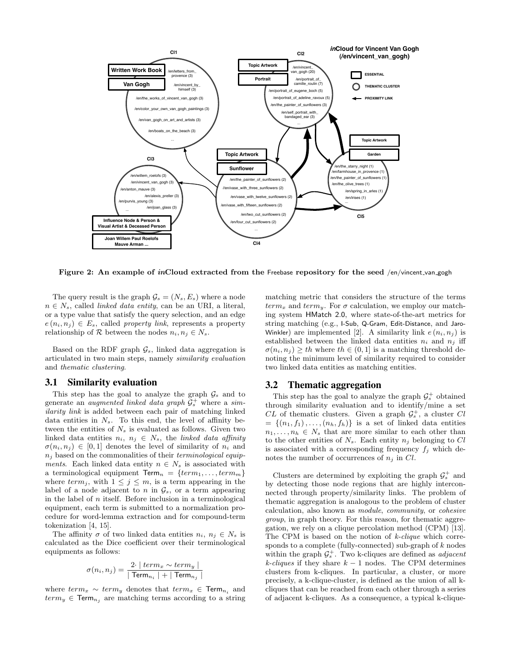

Figure 2: An example of inCloud extracted from the Freebase repository for the seed /en/vincent\_van\_gogh

The query result is the graph  $\mathcal{G}_s = (N_s, E_s)$  where a node  $n \in N_s$ , called *linked data entity*, can be an URI, a literal, or a type value that satisfy the query selection, and an edge  $e(n_i, n_j) \in E_s$ , called property link, represents a property relationship of  $\mathcal R$  between the nodes  $n_i, n_j \in N_s$ .

Based on the RDF graph  $\mathcal{G}_s$ , linked data aggregation is articulated in two main steps, namely similarity evaluation and thematic clustering.

## 3.1 Similarity evaluation

This step has the goal to analyze the graph  $\mathcal{G}_s$  and to generate an *augmented linked data graph*  $\mathcal{G}_s^+$  where a *sim*ilarity link is added between each pair of matching linked data entities in  $N_s$ . To this end, the level of affinity between the entities of  $N_s$  is evaluated as follows. Given two linked data entities  $n_i, n_j \in N_s$ , the linked data affinity  $\sigma(n_i, n_j) \in [0, 1]$  denotes the level of similarity of  $n_i$  and  $n_i$  based on the commonalities of their *terminological equip*ments. Each linked data entity  $n \in N_s$  is associated with a terminological equipment  $\textsf{Term}_n = \{term_1, \ldots, term_m\}$ where  $term<sub>j</sub>$ , with  $1 \leq j \leq m$ , is a term appearing in the label of a node adjacent to n in  $\mathcal{G}_s$ , or a term appearing in the label of  $n$  itself. Before inclusion in a terminological equipment, each term is submitted to a normalization procedure for word-lemma extraction and for compound-term tokenization [4, 15].

The affinity  $\sigma$  of two linked data entities  $n_i, n_j \in N_s$  is calculated as the Dice coefficient over their terminological equipments as follows:

$$
\sigma(n_i, n_j) = \frac{2 \cdot | \ term_x \sim term_y |}{|\ Term_{n_i} | + | \ Term_{n_j} |}
$$

where  $term_x \sim term_y$  denotes that  $term_x \in Term_{n_i}$  and  $term_y \in Term_{n_i}$  are matching terms according to a string matching metric that considers the structure of the terms  $term_x$  and  $term_y$ . For  $\sigma$  calculation, we employ our matching system HMatch 2.0, where state-of-the-art metrics for string matching (e.g., I-Sub, Q-Gram, Edit-Distance, and Jaro-Winkler) are implemented [2]. A similarity link  $e(n_i, n_j)$  is established between the linked data entities  $n_i$  and  $n_j$  iff  $\sigma(n_i, n_j) \geq th$  where  $th \in (0, 1]$  is a matching threshold denoting the minimum level of similarity required to consider two linked data entities as matching entities.

#### 3.2 Thematic aggregation

This step has the goal to analyze the graph  $\mathcal{G}_s^+$  obtained through similarity evaluation and to identify/mine a set  $CL$  of thematic clusters. Given a graph  $\mathcal{G}_s^+$ , a cluster  $Cl$  $= \{(n_1, f_1), \ldots, (n_h, f_h)\}\$ is a set of linked data entities  $n_1, \ldots, n_h \in N_s$  that are more similar to each other than to the other entities of  $N_s$ . Each entity  $n_j$  belonging to  $Cl$ is associated with a corresponding frequency  $f_i$  which denotes the number of occurrences of  $n_i$  in Cl.

Clusters are determined by exploiting the graph  $\mathcal{G}_s^+$  and by detecting those node regions that are highly interconnected through property/similarity links. The problem of thematic aggregation is analogous to the problem of cluster calculation, also known as module, community, or cohesive group, in graph theory. For this reason, for thematic aggregation, we rely on a clique percolation method (CPM) [13]. The CPM is based on the notion of k-clique which corresponds to a complete (fully-connected) sub-graph of k nodes within the graph  $\mathcal{G}_s^+$ . Two k-cliques are defined as *adjacent* k-cliques if they share  $k-1$  nodes. The CPM determines clusters from k-cliques. In particular, a cluster, or more precisely, a k-clique-cluster, is defined as the union of all kcliques that can be reached from each other through a series of adjacent k-cliques. As a consequence, a typical k-clique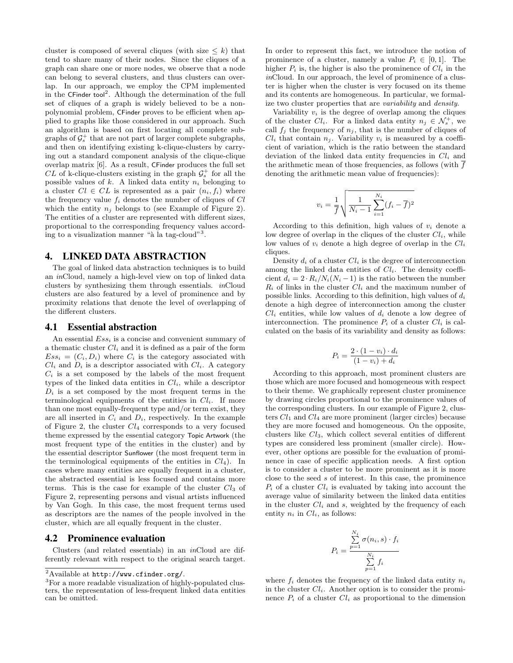cluster is composed of several cliques (with size  $\leq k$ ) that tend to share many of their nodes. Since the cliques of a graph can share one or more nodes, we observe that a node can belong to several clusters, and thus clusters can overlap. In our approach, we employ the CPM implemented in the CFinder tool<sup>2</sup>. Although the determination of the full set of cliques of a graph is widely believed to be a nonpolynomial problem, CFinder proves to be efficient when applied to graphs like those considered in our approach. Such an algorithm is based on first locating all complete subgraphs of  $\mathcal{G}_s^+$  that are not part of larger complete subgraphs, and then on identifying existing k-clique-clusters by carrying out a standard component analysis of the clique-clique overlap matrix [6]. As a result, CFinder produces the full set  $CL$  of k-clique-clusters existing in the graph  $\mathcal{G}_s^+$  for all the possible values of  $k$ . A linked data entity  $n_i$  belonging to a cluster  $Cl \in CL$  is represented as a pair  $(n_i, f_i)$  where the frequency value  $f_i$  denotes the number of cliques of  $Cl$ which the entity  $n_j$  belongs to (see Example of Figure 2). The entities of a cluster are represented with different sizes, proportional to the corresponding frequency values according to a visualization manner "à la tag-cloud"<sup>3</sup>.

## 4. LINKED DATA ABSTRACTION

The goal of linked data abstraction techniques is to build an inCloud, namely a high-level view on top of linked data clusters by synthesizing them through essentials. inCloud clusters are also featured by a level of prominence and by proximity relations that denote the level of overlapping of the different clusters.

#### 4.1 Essential abstraction

An essential  $Ess_i$  is a concise and convenient summary of a thematic cluster  $Cl_i$  and it is defined as a pair of the form  $Ess_i=(C_i,D_i)$  where  $C_i$  is the category associated with  $Cl_i$  and  $D_i$  is a descriptor associated with  $Cl_i$ . A category  $C_i$  is a set composed by the labels of the most frequent types of the linked data entities in  $Cl_i$ , while a descriptor  $D_i$  is a set composed by the most frequent terms in the terminological equipments of the entities in  $Cl_i$ . If more than one most equally-frequent type and/or term exist, they are all inserted in  $C_i$  and  $D_i$ , respectively. In the example of Figure 2, the cluster  $Cl_4$  corresponds to a very focused theme expressed by the essential category Topic Artwork (the most frequent type of the entities in the cluster) and by the essential descriptor Sunflower (the most frequent term in the terminological equipments of the entities in  $Cl<sub>4</sub>$ ). In cases where many entities are equally frequent in a cluster, the abstracted essential is less focused and contains more terms. This is the case for example of the cluster  $Cl_3$  of Figure 2, representing persons and visual artists influenced by Van Gogh. In this case, the most frequent terms used as descriptors are the names of the people involved in the cluster, which are all equally frequent in the cluster.

#### 4.2 Prominence evaluation

Clusters (and related essentials) in an inCloud are differently relevant with respect to the original search target. In order to represent this fact, we introduce the notion of prominence of a cluster, namely a value  $P_i \in [0,1]$ . The higher  $P_i$  is, the higher is also the prominence of  $Cl_i$  in the inCloud. In our approach, the level of prominence of a cluster is higher when the cluster is very focused on its theme and its contents are homogeneous. In particular, we formalize two cluster properties that are variability and density.

Variability  $v_i$  is the degree of overlap among the cliques of the cluster  $Cl_i$ . For a linked data entity  $n_j \in \mathcal{N}_s^+$ , we call  $f_i$  the frequency of  $n_i$ , that is the number of cliques of  $Cl_i$  that contain  $n_j$ . Variability  $v_i$  is measured by a coefficient of variation, which is the ratio between the standard deviation of the linked data entity frequencies in  $Cl_i$  and the arithmetic mean of those frequencies, as follows (with  $\overline{f}$ denoting the arithmetic mean value of frequencies):

$$
v_i = \frac{1}{f} \sqrt{\frac{1}{N_i - 1} \sum_{i=1}^{N_i} (f_i - \overline{f})^2}
$$

According to this definition, high values of  $v_i$  denote a low degree of overlap in the cliques of the cluster  $Cl_i$ , while low values of  $v_i$  denote a high degree of overlap in the  $Cl_i$ cliques.

Density  $d_i$  of a cluster  $Cl_i$  is the degree of interconnection among the linked data entities of  $Cl_i$ . The density coefficient  $d_i = 2 \cdot R_i/N_i(N_i - 1)$  is the ratio between the number  $R_i$  of links in the cluster  $Cl_i$  and the maximum number of possible links. According to this definition, high values of  $d_i$ denote a high degree of interconnection among the cluster  $Cl_i$  entities, while low values of  $d_i$  denote a low degree of interconnection. The prominence  $P_i$  of a cluster  $Cl_i$  is calculated on the basis of its variability and density as follows:

$$
P_i = \frac{2 \cdot (1 - v_i) \cdot d_i}{(1 - v_i) + d_i}
$$

According to this approach, most prominent clusters are those which are more focused and homogeneous with respect to their theme. We graphically represent cluster prominence by drawing circles proportional to the prominence values of the corresponding clusters. In our example of Figure 2, clusters  $Cl_1$  and  $Cl_4$  are more prominent (larger circles) because they are more focused and homogeneous. On the opposite, clusters like  $Cl_3$ , which collect several entities of different types are considered less prominent (smaller circle). However, other options are possible for the evaluation of prominence in case of specific application needs. A first option is to consider a cluster to be more prominent as it is more close to the seed s of interest. In this case, the prominence  $P_i$  of a cluster  $Cl_i$  is evaluated by taking into account the average value of similarity between the linked data entities in the cluster  $Cl_i$  and s, weighted by the frequency of each entity  $n_i$  in  $Cl_i$ , as follows:

$$
P_i = \frac{\sum_{p=1}^{N_i} \sigma(n_i, s) \cdot f_i}{\sum_{p=1}^{N_i} f_i}
$$

where  $f_i$  denotes the frequency of the linked data entity  $n_i$ in the cluster  $Cl_i$ . Another option is to consider the prominence  $P_i$  of a cluster  $Cl_i$  as proportional to the dimension

 $^2\text{Available at \texttt{http://www.cfinder.org/}.}$ 

<sup>3</sup>For a more readable visualization of highly-populated clusters, the representation of less-frequent linked data entities can be omitted.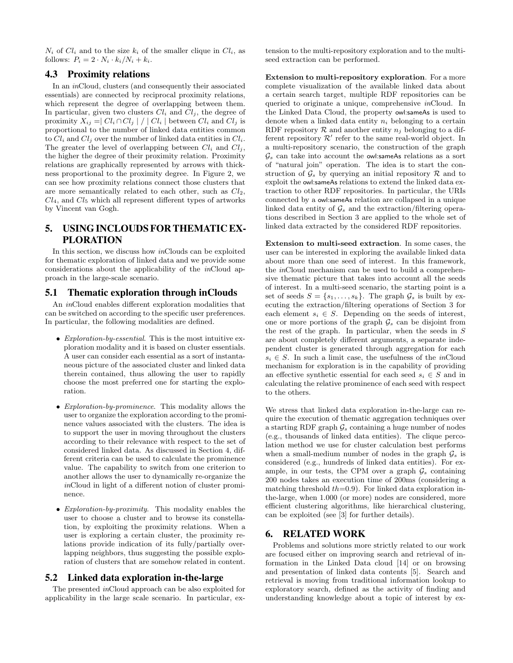$N_i$  of  $Cl_i$  and to the size  $k_i$  of the smaller clique in  $Cl_i$ , as follows:  $P_i = 2 \cdot N_i \cdot k_i / N_i + k_i$ .

## 4.3 Proximity relations

In an inCloud, clusters (and consequently their associated essentials) are connected by reciprocal proximity relations, which represent the degree of overlapping between them. In particular, given two clusters  $Cl_i$  and  $Cl_j$ , the degree of proximity  $X_{ij} = |Cl_i \cap Cl_j | / |Cl_i|$  between  $Cl_i$  and  $Cl_j$  is proportional to the number of linked data entities common to  $Cl_i$  and  $Cl_j$  over the number of linked data entities in  $Cl_i$ . The greater the level of overlapping between  $Cl_i$  and  $Cl_j$ , the higher the degree of their proximity relation. Proximity relations are graphically represented by arrows with thickness proportional to the proximity degree. In Figure 2, we can see how proximity relations connect those clusters that are more semantically related to each other, such as  $Cl<sub>2</sub>$ ,  $Cl<sub>4</sub>$ , and  $Cl<sub>5</sub>$  which all represent different types of artworks by Vincent van Gogh.

# 5. USING INCLOUDS FOR THEMATIC EX-PLORATION

In this section, we discuss how inClouds can be exploited for thematic exploration of linked data and we provide some considerations about the applicability of the inCloud approach in the large-scale scenario.

## 5.1 Thematic exploration through inClouds

An inCloud enables different exploration modalities that can be switched on according to the specific user preferences. In particular, the following modalities are defined.

- Exploration-by-essential. This is the most intuitive exploration modality and it is based on cluster essentials. A user can consider each essential as a sort of instantaneous picture of the associated cluster and linked data therein contained, thus allowing the user to rapidly choose the most preferred one for starting the exploration.
- *Exploration-by-prominence*. This modality allows the user to organize the exploration according to the prominence values associated with the clusters. The idea is to support the user in moving throughout the clusters according to their relevance with respect to the set of considered linked data. As discussed in Section 4, different criteria can be used to calculate the prominence value. The capability to switch from one criterion to another allows the user to dynamically re-organize the inCloud in light of a different notion of cluster prominence.
- Exploration-by-proximity. This modality enables the user to choose a cluster and to browse its constellation, by exploiting the proximity relations. When a user is exploring a certain cluster, the proximity relations provide indication of its fully/partially overlapping neighbors, thus suggesting the possible exploration of clusters that are somehow related in content.

#### 5.2 Linked data exploration in-the-large

The presented inCloud approach can be also exploited for applicability in the large scale scenario. In particular, extension to the multi-repository exploration and to the multiseed extraction can be performed.

Extension to multi-repository exploration. For a more complete visualization of the available linked data about a certain search target, multiple RDF repositories can be queried to originate a unique, comprehensive inCloud. In the Linked Data Cloud, the property owl:sameAs is used to denote when a linked data entity  $n_i$  belonging to a certain RDF repository  $\mathcal R$  and another entity  $n_i$  belonging to a different repository  $\mathcal{R}'$  refer to the same real-world object. In a multi-repository scenario, the construction of the graph  $\mathcal{G}_s$  can take into account the owl:sameAs relations as a sort of "natural join" operation. The idea is to start the construction of  $\mathcal{G}_s$  by querying an initial repository  $\mathcal R$  and to exploit the owl:sameAs relations to extend the linked data extraction to other RDF repositories. In particular, the URIs connected by a owl:sameAs relation are collapsed in a unique linked data entity of  $\mathcal{G}_s$  and the extraction/filtering operations described in Section 3 are applied to the whole set of linked data extracted by the considered RDF repositories.

Extension to multi-seed extraction. In some cases, the user can be interested in exploring the available linked data about more than one seed of interest. In this framework, the inCloud mechanism can be used to build a comprehensive thematic picture that takes into account all the seeds of interest. In a multi-seed scenario, the starting point is a set of seeds  $S = \{s_1, \ldots, s_k\}$ . The graph  $\mathcal{G}_s$  is built by executing the extraction/filtering operations of Section 3 for each element  $s_i \in S$ . Depending on the seeds of interest, one or more portions of the graph  $\mathcal{G}_s$  can be disjoint from the rest of the graph. In particular, when the seeds in S are about completely different arguments, a separate independent cluster is generated through aggregation for each  $s_i \in S$ . In such a limit case, the usefulness of the *in*Cloud mechanism for exploration is in the capability of providing an effective synthetic essential for each seed  $s_i \in S$  and in calculating the relative prominence of each seed with respect to the others.

We stress that linked data exploration in-the-large can require the execution of thematic aggregation techniques over a starting RDF graph  $\mathcal{G}_s$  containing a huge number of nodes (e.g., thousands of linked data entities). The clique percolation method we use for cluster calculation best performs when a small-medium number of nodes in the graph  $\mathcal{G}_s$  is considered (e.g., hundreds of linked data entities). For example, in our tests, the CPM over a graph  $\mathcal{G}_s$  containing 200 nodes takes an execution time of 200ms (considering a matching threshold  $th=0.9$ ). For linked data exploration inthe-large, when 1.000 (or more) nodes are considered, more efficient clustering algorithms, like hierarchical clustering, can be exploited (see [3] for further details).

## 6. RELATED WORK

Problems and solutions more strictly related to our work are focused either on improving search and retrieval of information in the Linked Data cloud [14] or on browsing and presentation of linked data contents [5]. Search and retrieval is moving from traditional information lookup to exploratory search, defined as the activity of finding and understanding knowledge about a topic of interest by ex